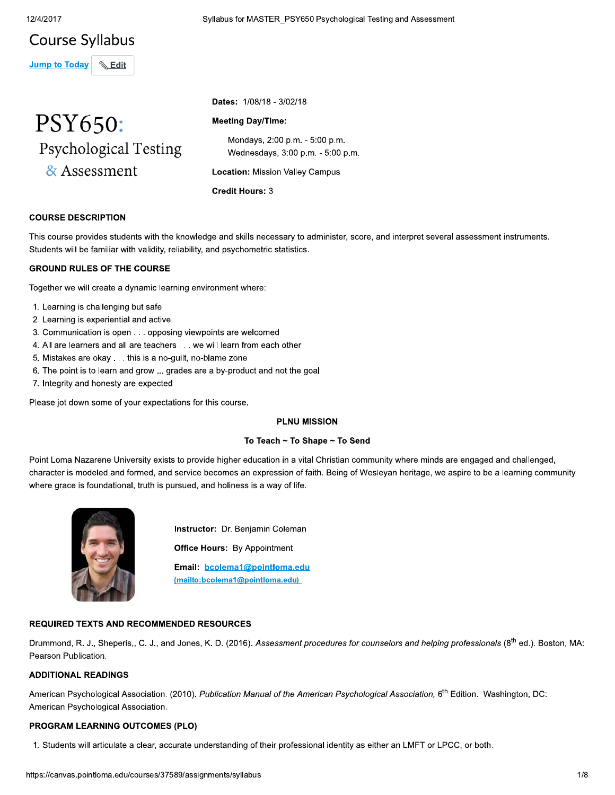## **Course Syllabus**

**Jump to Today**  $\binom{1}{2}$  Edit



Syllabus for MASTER\_PSY650 Psychological Testing and Assessment

Dates: 1/08/18 - 3/02/18

## **Meeting Day/Time:**

Mondays, 2:00 p.m. - 5:00 p.m. Wednesdays, 3:00 p.m. - 5:00 p.m.

**Location: Mission Valley Campus** 

**Credit Hours: 3** 

## **COURSE DESCRIPTION**

This course provides students with the knowledge and skills necessary to administer, score, and interpret several assessment instruments. Students will be familiar with validity, reliability, and psychometric statistics.

## **GROUND RULES OF THE COURSE**

Together we will create a dynamic learning environment where:

- 1. Learning is challenging but safe
- 2. Learning is experiential and active
- 3. Communication is open . . . opposing viewpoints are welcomed
- 4. All are learners and all are teachers . . . we will learn from each other
- 5. Mistakes are okay . . . this is a no-guilt, no-blame zone
- 6. The point is to learn and grow ... grades are a by-product and not the goal
- 7. Integrity and honesty are expected

Please jot down some of your expectations for this course.

#### **PLNU MISSION**

## To Teach ~ To Shape ~ To Send

Point Loma Nazarene University exists to provide higher education in a vital Christian community where minds are engaged and challenged, character is modeled and formed, and service becomes an expression of faith. Being of Wesleyan heritage, we aspire to be a learning community where grace is foundational, truth is pursued, and holiness is a way of life.



Instructor: Dr. Benjamin Coleman **Office Hours:** By Appointment Email: bcolema1@pointloma.edu (mailto:bcolema1@pointloma.edu)

## **REQUIRED TEXTS AND RECOMMENDED RESOURCES**

Drummond, R. J., Sheperis,, C. J., and Jones, K. D. (2016). Assessment procedures for counselors and helping professionals (8<sup>th</sup> ed.). Boston, MA: Pearson Publication.

## **ADDITIONAL READINGS**

American Psychological Association. (2010). Publication Manual of the American Psychological Association, 6<sup>th</sup> Edition. Washington, DC: American Psychological Association.

## **PROGRAM LEARNING OUTCOMES (PLO)**

1. Students will articulate a clear, accurate understanding of their professional identity as either an LMFT or LPCC, or both.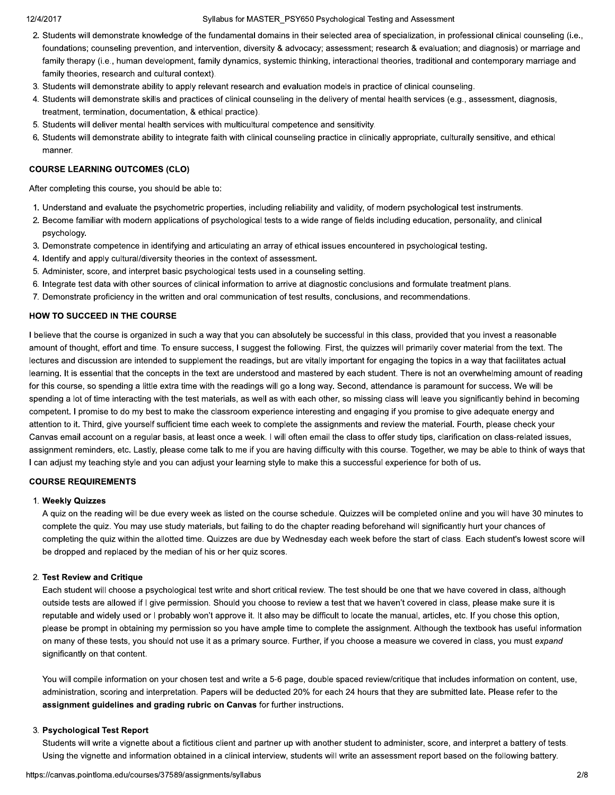#### Syllabus for MASTER\_PSY650 Psychological Testing and Assessment

- 2. Students will demonstrate knowledge of the fundamental domains in their selected area of specialization, in professional clinical counseling (i.e., foundations; counseling prevention, and intervention, diversity & advocacy; assessment; research & evaluation; and diagnosis) or marriage and family therapy (i.e., human development, family dynamics, systemic thinking, interactional theories, traditional and contemporary marriage and family theories, research and cultural context).
- 3. Students will demonstrate ability to apply relevant research and evaluation models in practice of clinical counseling.
- 4. Students will demonstrate skills and practices of clinical counseling in the delivery of mental health services (e.g., assessment, diagnosis, treatment, termination, documentation, & ethical practice).
- 5. Students will deliver mental health services with multicultural competence and sensitivity.
- 6. Students will demonstrate ability to integrate faith with clinical counseling practice in clinically appropriate, culturally sensitive, and ethical manner.

## **COURSE LEARNING OUTCOMES (CLO)**

After completing this course, you should be able to:

- 1. Understand and evaluate the psychometric properties, including reliability and validity, of modern psychological test instruments.
- 2. Become familiar with modern applications of psychological tests to a wide range of fields including education, personality, and clinical psychology.
- 3. Demonstrate competence in identifying and articulating an array of ethical issues encountered in psychological testing.
- 4. Identify and apply cultural/diversity theories in the context of assessment.
- 5. Administer, score, and interpret basic psychological tests used in a counseling setting.
- 6. Integrate test data with other sources of clinical information to arrive at diagnostic conclusions and formulate treatment plans.
- 7. Demonstrate proficiency in the written and oral communication of test results, conclusions, and recommendations.

## HOW TO SUCCEED IN THE COURSE

I believe that the course is organized in such a way that you can absolutely be successful in this class, provided that you invest a reasonable amount of thought, effort and time. To ensure success, I suggest the following. First, the quizzes will primarily cover material from the text. The lectures and discussion are intended to supplement the readings, but are vitally important for engaging the topics in a way that facilitates actual learning. It is essential that the concepts in the text are understood and mastered by each student. There is not an overwhelming amount of reading for this course, so spending a little extra time with the readings will go a long way. Second, attendance is paramount for success. We will be spending a lot of time interacting with the test materials, as well as with each other, so missing class will leave you significantly behind in becoming competent. I promise to do my best to make the classroom experience interesting and engaging if you promise to give adequate energy and attention to it. Third, give yourself sufficient time each week to complete the assignments and review the material. Fourth, please check your Canvas email account on a regular basis, at least once a week. I will often email the class to offer study tips, clarification on class-related issues, assignment reminders, etc. Lastly, please come talk to me if you are having difficulty with this course. Together, we may be able to think of ways that I can adjust my teaching style and you can adjust your learning style to make this a successful experience for both of us.

## **COURSE REQUIREMENTS**

#### 1. Weekly Quizzes

A quiz on the reading will be due every week as listed on the course schedule. Quizzes will be completed online and you will have 30 minutes to complete the quiz. You may use study materials, but failing to do the chapter reading beforehand will significantly hurt your chances of completing the quiz within the allotted time. Quizzes are due by Wednesday each week before the start of class. Each student's lowest score will be dropped and replaced by the median of his or her quiz scores.

## 2. Test Review and Critique

Each student will choose a psychological test write and short critical review. The test should be one that we have covered in class, although outside tests are allowed if I give permission. Should you choose to review a test that we haven't covered in class, please make sure it is reputable and widely used or I probably won't approve it. It also may be difficult to locate the manual, articles, etc. If you chose this option, please be prompt in obtaining my permission so you have ample time to complete the assignment. Although the textbook has useful information on many of these tests, you should not use it as a primary source. Further, if you choose a measure we covered in class, you must expand significantly on that content.

You will compile information on your chosen test and write a 5-6 page, double spaced review/critique that includes information on content, use, administration, scoring and interpretation. Papers will be deducted 20% for each 24 hours that they are submitted late. Please refer to the assignment guidelines and grading rubric on Canvas for further instructions.

## 3. Psychological Test Report

Students will write a vignette about a fictitious client and partner up with another student to administer, score, and interpret a battery of tests. Using the vignette and information obtained in a clinical interview, students will write an assessment report based on the following battery.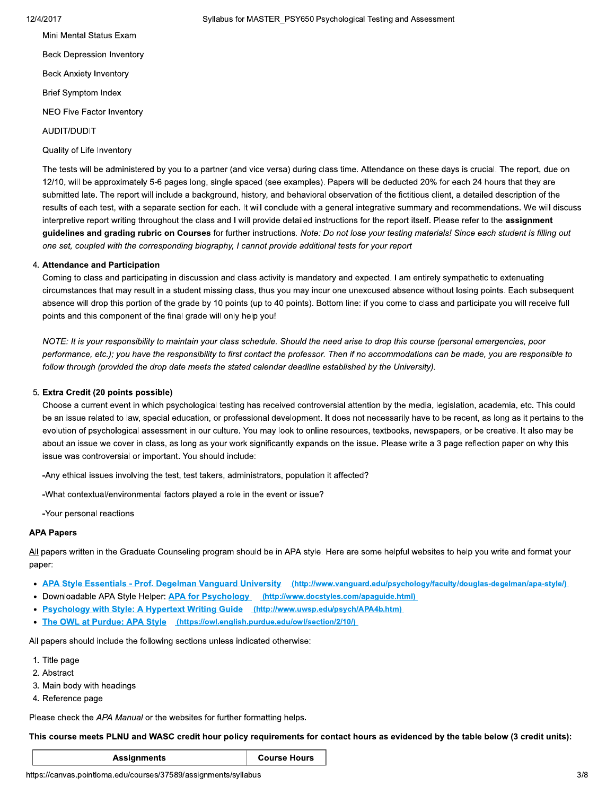Mini Mental Status Exam **Beck Depression Inventory Beck Anxiety Inventory Brief Symptom Index** 

NEO Five Factor Inventory

AUDIT/DUDIT

Quality of Life Inventory

The tests will be administered by you to a partner (and vice versa) during class time. Attendance on these days is crucial. The report, due on 12/10, will be approximately 5-6 pages long, single spaced (see examples). Papers will be deducted 20% for each 24 hours that they are submitted late. The report will include a background, history, and behavioral observation of the fictitious client, a detailed description of the results of each test, with a separate section for each. It will conclude with a general integrative summary and recommendations. We will discuss interpretive report writing throughout the class and I will provide detailed instructions for the report itself. Please refer to the assignment guidelines and grading rubric on Courses for further instructions. Note: Do not lose your testing materials! Since each student is filling out one set, coupled with the corresponding biography, I cannot provide additional tests for your report

#### 4. Attendance and Participation

Coming to class and participating in discussion and class activity is mandatory and expected. I am entirely sympathetic to extenuating circumstances that may result in a student missing class, thus you may incur one unexcused absence without losing points. Each subsequent absence will drop this portion of the grade by 10 points (up to 40 points). Bottom line: if you come to class and participate you will receive full points and this component of the final grade will only help you!

NOTE: It is your responsibility to maintain your class schedule. Should the need arise to drop this course (personal emergencies, poor performance, etc.); you have the responsibility to first contact the professor. Then if no accommodations can be made, you are responsible to follow through (provided the drop date meets the stated calendar deadline established by the University).

#### 5. Extra Credit (20 points possible)

Choose a current event in which psychological testing has received controversial attention by the media, legislation, academia, etc. This could be an issue related to law, special education, or professional development. It does not necessarily have to be recent, as long as it pertains to the evolution of psychological assessment in our culture. You may look to online resources, textbooks, newspapers, or be creative. It also may be about an issue we cover in class, as long as your work significantly expands on the issue. Please write a 3 page reflection paper on why this issue was controversial or important. You should include:

-Any ethical issues involving the test, test takers, administrators, population it affected?

-What contextual/environmental factors played a role in the event or issue?

-Your personal reactions

#### **APA Papers**

All papers written in the Graduate Counseling program should be in APA style. Here are some helpful websites to help you write and format your paper:

- APA Style Essentials Prof. Degelman Vanguard University (http://www.vanguard.edu/psychology/faculty/douglas-degelman/apa-style/)
- Downloadable APA Style Helper: APA for Psychology (http://www.docstyles.com/apaguide.html)
- Psychology with Style: A Hypertext Writing Guide (http://www.uwsp.edu/psych/APA4b.htm)
- The OWL at Purdue: APA Style (https://owl.english.purdue.edu/owl/section/2/10/)

All papers should include the following sections unless indicated otherwise:

- 1. Title page
- 2. Abstract
- 3. Main body with headings
- 4. Reference page

Please check the APA Manual or the websites for further formatting helps.

This course meets PLNU and WASC credit hour policy requirements for contact hours as evidenced by the table below (3 credit units):

**Course Hours** 

https://canvas.pointloma.edu/courses/37589/assignments/syllabus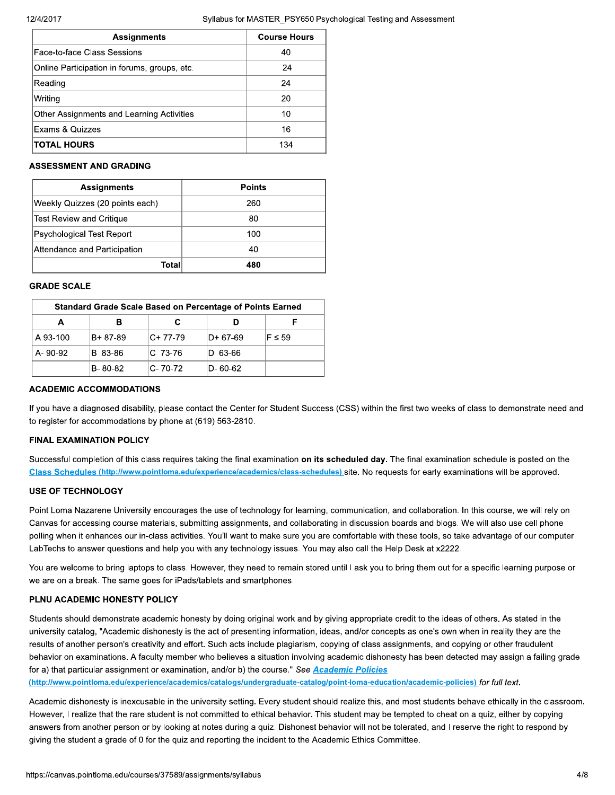| <b>Assignments</b>                           | <b>Course Hours</b> |
|----------------------------------------------|---------------------|
| lFace-to-face Class Sessions                 | 40                  |
| Online Participation in forums, groups, etc. | 24                  |
| Reading                                      | 24                  |
| Writing                                      | 20                  |
| Other Assignments and Learning Activities    | 10                  |
| Exams & Quizzes                              | 16                  |
| <b>ITOTAL HOURS</b>                          | 134                 |

## **ASSESSMENT AND GRADING**

| <b>Assignments</b>              | Points |
|---------------------------------|--------|
| Weekly Quizzes (20 points each) | 260    |
| Test Review and Critique        | 80     |
| Psychological Test Report       | 100    |
| Attendance and Participation    | 40     |
| Total                           | 480    |

#### **GRADE SCALE**

| <b>Standard Grade Scale Based on Percentage of Points Earned</b> |          |           |          |             |
|------------------------------------------------------------------|----------|-----------|----------|-------------|
|                                                                  | в        |           |          |             |
| A 93-100                                                         | B+ 87-89 | IC+ 77-79 | D+ 67-69 | $F \leq 59$ |
| A-90-92                                                          | B 83-86  | IC 73-76  | D 63-66  |             |
|                                                                  | B-80-82  | C-70-72   | D- 60-62 |             |

#### **ACADEMIC ACCOMMODATIONS**

If you have a diagnosed disability, please contact the Center for Student Success (CSS) within the first two weeks of class to demonstrate need and to register for accommodations by phone at (619) 563-2810.

## **FINAL EXAMINATION POLICY**

Successful completion of this class requires taking the final examination on its scheduled day. The final examination schedule is posted on the Class Schedules (http://www.pointloma.edu/experience/academics/class-schedules) site. No requests for early examinations will be approved.

### **USE OF TECHNOLOGY**

Point Loma Nazarene University encourages the use of technology for learning, communication, and collaboration. In this course, we will rely on Canvas for accessing course materials, submitting assignments, and collaborating in discussion boards and blogs. We will also use cell phone polling when it enhances our in-class activities. You'll want to make sure you are comfortable with these tools, so take advantage of our computer LabTechs to answer questions and help you with any technology issues. You may also call the Help Desk at x2222.

You are welcome to bring laptops to class. However, they need to remain stored until I ask you to bring them out for a specific learning purpose or we are on a break. The same goes for iPads/tablets and smartphones.

#### PLNU ACADEMIC HONESTY POLICY

Students should demonstrate academic honesty by doing original work and by giving appropriate credit to the ideas of others. As stated in the university catalog, "Academic dishonesty is the act of presenting information, ideas, and/or concepts as one's own when in reality they are the results of another person's creativity and effort. Such acts include plagiarism, copying of class assignments, and copying or other fraudulent behavior on examinations. A faculty member who believes a situation involving academic dishonesty has been detected may assign a failing grade for a) that particular assignment or examination, and/or b) the course." See Academic Policies

(http://www.pointloma.edu/experience/academics/catalogs/undergraduate-catalog/point-loma-education/academic-policies) for full text.

Academic dishonesty is inexcusable in the university setting. Every student should realize this, and most students behave ethically in the classroom. However, I realize that the rare student is not committed to ethical behavior. This student may be tempted to cheat on a quiz, either by copying answers from another person or by looking at notes during a quiz. Dishonest behavior will not be tolerated, and I reserve the right to respond by giving the student a grade of 0 for the quiz and reporting the incident to the Academic Ethics Committee.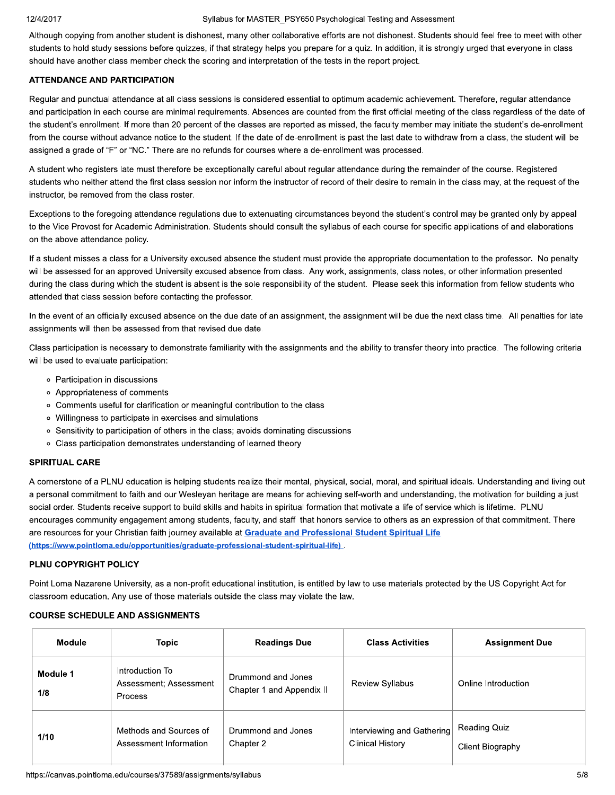#### Syllabus for MASTER\_PSY650 Psychological Testing and Assessment

Although copying from another student is dishonest, many other collaborative efforts are not dishonest. Students should feel free to meet with other students to hold study sessions before quizzes, if that strategy helps you prepare for a quiz. In addition, it is strongly urged that everyone in class should have another class member check the scoring and interpretation of the tests in the report project.

## **ATTENDANCE AND PARTICIPATION**

Regular and punctual attendance at all class sessions is considered essential to optimum academic achievement. Therefore, regular attendance and participation in each course are minimal requirements. Absences are counted from the first official meeting of the class regardless of the date of the student's enrollment. If more than 20 percent of the classes are reported as missed, the faculty member may initiate the student's de-enrollment from the course without advance notice to the student. If the date of de-enrollment is past the last date to withdraw from a class, the student will be assigned a grade of "F" or "NC." There are no refunds for courses where a de-enrollment was processed.

A student who registers late must therefore be exceptionally careful about regular attendance during the remainder of the course. Registered students who neither attend the first class session nor inform the instructor of record of their desire to remain in the class may, at the request of the instructor, be removed from the class roster.

Exceptions to the foregoing attendance regulations due to extenuating circumstances beyond the student's control may be granted only by appeal to the Vice Provost for Academic Administration. Students should consult the syllabus of each course for specific applications of and elaborations on the above attendance policy.

If a student misses a class for a University excused absence the student must provide the appropriate documentation to the professor. No penalty will be assessed for an approved University excused absence from class. Any work, assignments, class notes, or other information presented during the class during which the student is absent is the sole responsibility of the student. Please seek this information from fellow students who attended that class session before contacting the professor.

In the event of an officially excused absence on the due date of an assignment, the assignment will be due the next class time. All penalties for late assignments will then be assessed from that revised due date.

Class participation is necessary to demonstrate familiarity with the assignments and the ability to transfer theory into practice. The following criteria will be used to evaluate participation:

- Participation in discussions
- o Appropriateness of comments
- Comments useful for clarification or meaningful contribution to the class
- o Willingness to participate in exercises and simulations
- Sensitivity to participation of others in the class; avoids dominating discussions
- o Class participation demonstrates understanding of learned theory

## **SPIRITUAL CARE**

A cornerstone of a PLNU education is helping students realize their mental, physical, social, moral, and spiritual ideals. Understanding and living out a personal commitment to faith and our Wesleyan heritage are means for achieving self-worth and understanding, the motivation for building a just social order. Students receive support to build skills and habits in spiritual formation that motivate a life of service which is lifetime. PLNU encourages community engagement among students, faculty, and staff that honors service to others as an expression of that commitment. There are resources for your Christian faith journey available at Graduate and Professional Student Spiritual Life (https://www.pointloma.edu/opportunities/graduate-professional-student-spiritual-life)

## PLNU COPYRIGHT POLICY

Point Loma Nazarene University, as a non-profit educational institution, is entitled by law to use materials protected by the US Copyright Act for classroom education. Any use of those materials outside the class may violate the law.

## **COURSE SCHEDULE AND ASSIGNMENTS**

| <b>Module</b>   | <b>Topic</b>                                         | <b>Readings Due</b>                             | <b>Class Activities</b>                               | <b>Assignment Due</b>                   |
|-----------------|------------------------------------------------------|-------------------------------------------------|-------------------------------------------------------|-----------------------------------------|
| Module 1<br>1/8 | Introduction To<br>Assessment: Assessment<br>Process | Drummond and Jones<br>Chapter 1 and Appendix II | <b>Review Syllabus</b>                                | Online Introduction                     |
| 1/10            | Methods and Sources of<br>Assessment Information     | Drummond and Jones<br>Chapter 2                 | Interviewing and Gathering<br><b>Clinical History</b> | <b>Reading Quiz</b><br>Client Biography |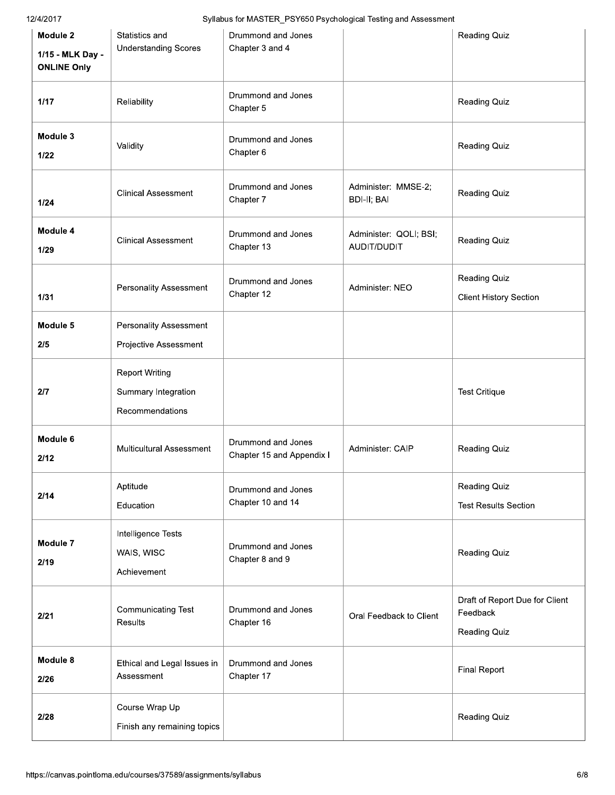Syllabus for MASTER\_PSY650 Psychological Testing and Assessment

| Module 2<br>1/15 - MLK Day -<br><b>ONLINE Only</b> | Statistics and<br><b>Understanding Scores</b>                   | Drummond and Jones<br>Chapter 3 and 4           |                                       | <b>Reading Quiz</b>                                        |
|----------------------------------------------------|-----------------------------------------------------------------|-------------------------------------------------|---------------------------------------|------------------------------------------------------------|
| 1/17                                               | Reliability                                                     | Drummond and Jones<br>Chapter 5                 |                                       | <b>Reading Quiz</b>                                        |
| Module 3<br>1/22                                   | Validity                                                        | Drummond and Jones<br>Chapter 6                 |                                       | <b>Reading Quiz</b>                                        |
| 1/24                                               | <b>Clinical Assessment</b>                                      | Drummond and Jones<br>Chapter 7                 | Administer: MMSE-2;<br>BDI-II; BAI    | <b>Reading Quiz</b>                                        |
| Module 4<br>1/29                                   | <b>Clinical Assessment</b>                                      | Drummond and Jones<br>Chapter 13                | Administer: QOLI; BSI;<br>AUDIT/DUDIT | <b>Reading Quiz</b>                                        |
| 1/31                                               | <b>Personality Assessment</b>                                   | Drummond and Jones<br>Chapter 12                | Administer: NEO                       | Reading Quiz<br><b>Client History Section</b>              |
| Module 5<br>2/5                                    | Personality Assessment<br>Projective Assessment                 |                                                 |                                       |                                                            |
| 2/7                                                | <b>Report Writing</b><br>Summary Integration<br>Recommendations |                                                 |                                       | <b>Test Critique</b>                                       |
| Module 6<br>2/12                                   | <b>Multicultural Assessment</b>                                 | Drummond and Jones<br>Chapter 15 and Appendix I | Administer: CAIP                      | <b>Reading Quiz</b>                                        |
| 2/14                                               | Aptitude<br>Education                                           | Drummond and Jones<br>Chapter 10 and 14         |                                       | <b>Reading Quiz</b><br><b>Test Results Section</b>         |
| Module 7<br>2/19                                   | Intelligence Tests<br>WAIS, WISC<br>Achievement                 | Drummond and Jones<br>Chapter 8 and 9           |                                       | <b>Reading Quiz</b>                                        |
| 2/21                                               | Communicating Test<br>Results                                   | Drummond and Jones<br>Chapter 16                | Oral Feedback to Client               | Draft of Report Due for Client<br>Feedback<br>Reading Quiz |
| Module 8<br>2/26                                   | Ethical and Legal Issues in<br>Assessment                       | Drummond and Jones<br>Chapter 17                |                                       | <b>Final Report</b>                                        |
| 2/28                                               | Course Wrap Up<br>Finish any remaining topics                   |                                                 |                                       | Reading Quiz                                               |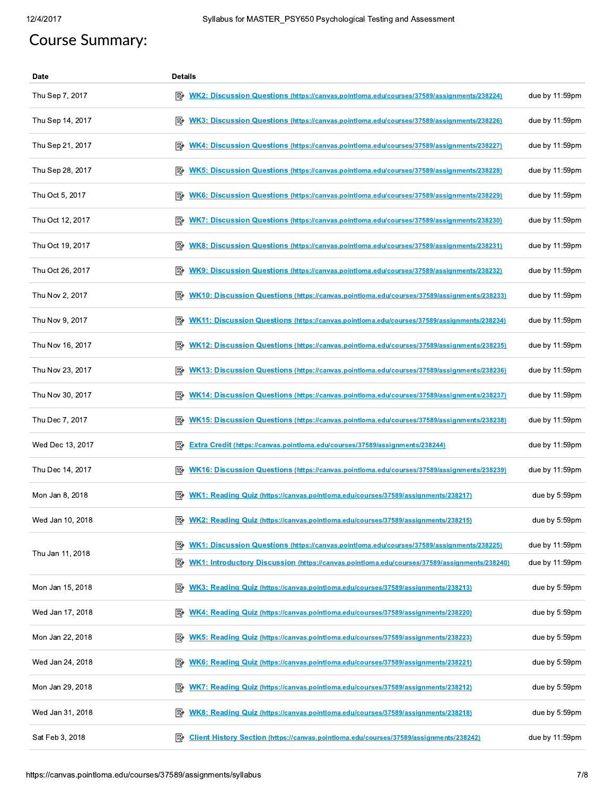# **Course Summary:**

| Date             | <b>Details</b>                                                                                         |                   |
|------------------|--------------------------------------------------------------------------------------------------------|-------------------|
| Thu Sep 7, 2017  | ₽<br><u>WK2: Discussion Questions (https://canvas.pointloma.edu/courses/37589/assignments/238224)</u>  | due by 11:59pm    |
| Thu Sep 14, 2017 | 國<br>WK3: Discussion Questions (https://canvas.pointloma.edu/courses/37589/assignments/238226)         | due by 11:59pm    |
| Thu Sep 21, 2017 | 國<br><b>WK4: Discussion Questions (https://canvas.pointloma.edu/courses/37589/assignments/238227)</b>  | due by 11:59pm    |
| Thu Sep 28, 2017 | 國<br>WK5: Discussion Questions (https://canvas.pointloma.edu/courses/37589/assignments/238228)         | due by 11:59pm    |
| Thu Oct 5, 2017  | 暨<br>WK6: Discussion Questions (https://canvas.pointloma.edu/courses/37589/assignments/238229)         | due by 11:59pm    |
| Thu Oct 12, 2017 | 國<br>WK7: Discussion Questions (https://canvas.pointloma.edu/courses/37589/assignments/238230)         | due by $11:59$ pm |
| Thu Oct 19, 2017 | 眕<br>WK8: Discussion Questions (https://canvas.pointloma.edu/courses/37589/assignments/238231)         | due by 11:59pm    |
| Thu Oct 26, 2017 | 暨<br>WK9: Discussion Questions (https://canvas.pointloma.edu/courses/37589/assignments/238232)         | due by 11:59pm    |
| Thu Nov 2, 2017  | 國<br>WK10: Discussion Questions (https://canvas.pointloma.edu/courses/37589/assignments/238233)        | due by $11:59$ pm |
| Thu Nov 9, 2017  | 零<br>WK11: Discussion Questions (https://canvas.pointloma.edu/courses/37589/assignments/238234)        | due by 11:59pm    |
| Thu Nov 16, 2017 | ≇∕<br>WK12: Discussion Questions (https://canvas.pointloma.edu/courses/37589/assignments/238235)       | due by 11:59pm    |
| Thu Nov 23, 2017 | 國<br>WK13: Discussion Questions (https://canvas.pointloma.edu/courses/37589/assignments/238236)        | due by 11:59pm    |
| Thu Nov 30, 2017 | <b>WK14: Discussion Questions (https://canvas.pointloma.edu/courses/37589/assignments/238237)</b>      | due by 11:59pm    |
| Thu Dec 7, 2017  | 暨<br>WK15: Discussion Questions (https://canvas.pointloma.edu/courses/37589/assignments/238238)        | due by 11:59pm    |
| Wed Dec 13, 2017 | 垦<br><b>Extra Credit (https://canvas.pointloma.edu/courses/37589/assignments/238244)</b>               | due by 11:59pm    |
| Thu Dec 14, 2017 | 國<br>WK16: Discussion Questions (https://canvas.pointloma.edu/courses/37589/assignments/238239)        | due by 11:59pm    |
| Mon Jan 8, 2018  | 診<br>WK1: Reading Quiz (https://canvas.pointloma.edu/courses/37589/assignments/238217)                 | due by 5:59pm     |
| Wed Jan 10, 2018 | WK2: Reading Quiz (https://canvas.pointloma.edu/courses/37589/assignments/238215)                      | due by 5:59pm     |
|                  | <u> WK1: Discussion Questions (https://canvas.pointloma.edu/courses/37589/assignments/238225)</u><br>診 | due by 11:59pm    |
| Thu Jan 11, 2018 | 國<br>WK1: Introductory Discussion (https://canvas.pointloma.edu/courses/37589/assignments/238240)      | due by 11:59pm    |
| Mon Jan 15, 2018 | 暨<br>WK3: Reading Quiz (https://canvas.pointloma.edu/courses/37589/assignments/238213)                 | due by 5:59pm     |
| Wed Jan 17, 2018 | 暨<br>WK4: Reading Quiz (https://canvas.pointloma.edu/courses/37589/assignments/238220)                 | due by 5:59pm     |
| Mon Jan 22, 2018 | 垦<br>WK5: Reading Quiz (https://canvas.pointloma.edu/courses/37589/assignments/238223)                 | due by 5:59pm     |
| Wed Jan 24, 2018 | ₽<br>WK6: Reading Quiz (https://canvas.pointloma.edu/courses/37589/assignments/238221)                 | due by 5:59pm     |
| Mon Jan 29, 2018 | 國<br><b>WK7: Reading Quiz (https://canvas.pointloma.edu/courses/37589/assignments/238212)</b>          | due by 5:59pm     |
| Wed Jan 31, 2018 | 國<br>WK8: Reading Quiz (https://canvas.pointloma.edu/courses/37589/assignments/238218)                 | due by 5:59pm     |
| Sat Feb 3, 2018  | 昬<br><b>Client History Section (https://canvas.pointloma.edu/courses/37589/assignments/238242)</b>     | due by 11:59pm    |